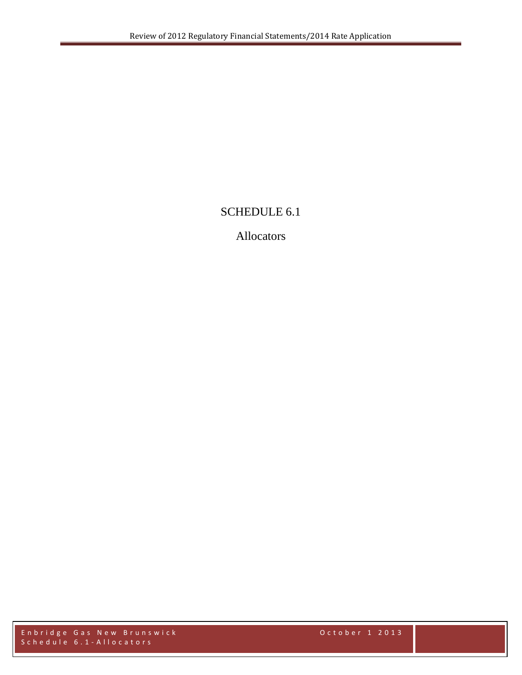## SCHEDULE 6.1

## Allocators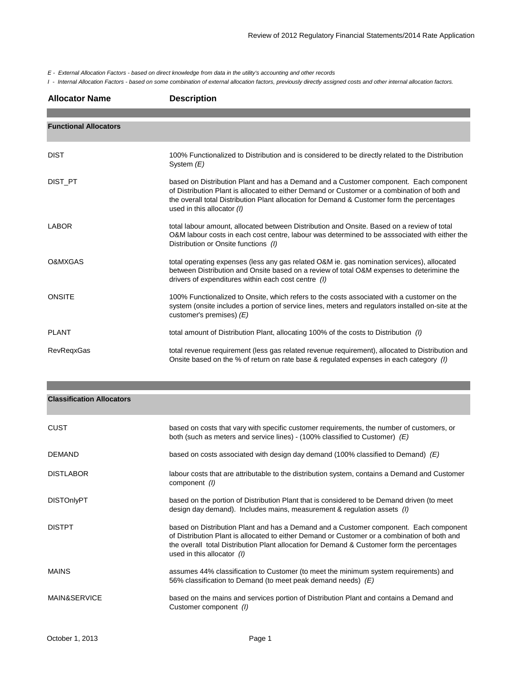*E - External Allocation Factors - based on direct knowledge from data in the utility's accounting and other records*

*I - Internal Allocation Factors - based on some combination of external allocation factors, previously directly assigned costs and other internal allocation factors.*

| <b>Allocator Name</b>        | <b>Description</b>                                                                                                                                                                                                                                                                                                |
|------------------------------|-------------------------------------------------------------------------------------------------------------------------------------------------------------------------------------------------------------------------------------------------------------------------------------------------------------------|
|                              |                                                                                                                                                                                                                                                                                                                   |
| <b>Functional Allocators</b> |                                                                                                                                                                                                                                                                                                                   |
| <b>DIST</b>                  | 100% Functionalized to Distribution and is considered to be directly related to the Distribution<br>System $(E)$                                                                                                                                                                                                  |
| DIST PT                      | based on Distribution Plant and has a Demand and a Customer component. Each component<br>of Distribution Plant is allocated to either Demand or Customer or a combination of both and<br>the overall total Distribution Plant allocation for Demand & Customer form the percentages<br>used in this allocator (I) |
| <b>LABOR</b>                 | total labour amount, allocated between Distribution and Onsite. Based on a review of total<br>O&M labour costs in each cost centre, labour was determined to be asssociated with either the<br>Distribution or Onsite functions (I)                                                                               |
| O&MXGAS                      | total operating expenses (less any gas related O&M ie. gas nomination services), allocated<br>between Distribution and Onsite based on a review of total O&M expenses to deterimine the<br>drivers of expenditures within each cost centre (1)                                                                    |
| <b>ONSITE</b>                | 100% Functionalized to Onsite, which refers to the costs associated with a customer on the<br>system (onsite includes a portion of service lines, meters and regulators installed on-site at the<br>customer's premises) (E)                                                                                      |
| <b>PLANT</b>                 | total amount of Distribution Plant, allocating 100% of the costs to Distribution (1)                                                                                                                                                                                                                              |
| <b>RevRegxGas</b>            | total revenue requirement (less gas related revenue requirement), allocated to Distribution and<br>Onsite based on the % of return on rate base & regulated expenses in each category (I)                                                                                                                         |

| <b>Classification Allocators</b> |  |
|----------------------------------|--|
|----------------------------------|--|

| CUST              | based on costs that vary with specific customer requirements, the number of customers, or<br>both (such as meters and service lines) - (100% classified to Customer) $(E)$                                                                                                                                        |
|-------------------|-------------------------------------------------------------------------------------------------------------------------------------------------------------------------------------------------------------------------------------------------------------------------------------------------------------------|
| <b>DEMAND</b>     | based on costs associated with design day demand (100% classified to Demand) $(E)$                                                                                                                                                                                                                                |
| <b>DISTLABOR</b>  | labour costs that are attributable to the distribution system, contains a Demand and Customer<br>component (I)                                                                                                                                                                                                    |
| <b>DISTOnlyPT</b> | based on the portion of Distribution Plant that is considered to be Demand driven (to meet<br>design day demand). Includes mains, measurement & regulation assets $(1)$                                                                                                                                           |
| <b>DISTPT</b>     | based on Distribution Plant and has a Demand and a Customer component. Each component<br>of Distribution Plant is allocated to either Demand or Customer or a combination of both and<br>the overall total Distribution Plant allocation for Demand & Customer form the percentages<br>used in this allocator (I) |
| MAINS             | assumes 44% classification to Customer (to meet the minimum system requirements) and<br>56% classification to Demand (to meet peak demand needs) $(E)$                                                                                                                                                            |
| MAIN&SERVICE      | based on the mains and services portion of Distribution Plant and contains a Demand and<br>Customer component (I)                                                                                                                                                                                                 |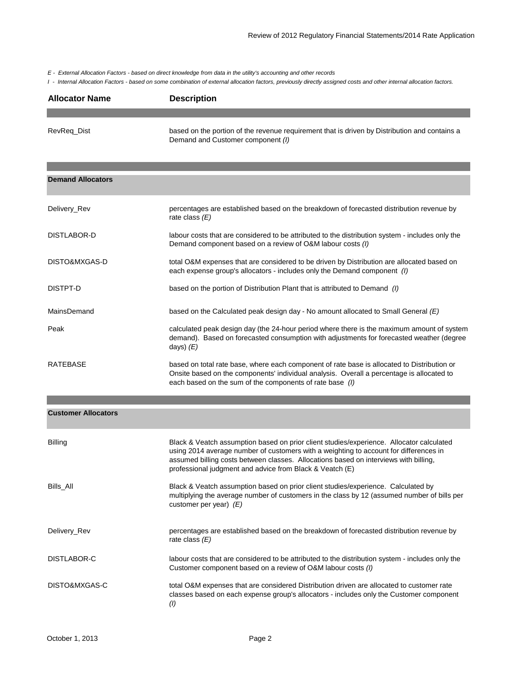*E - External Allocation Factors - based on direct knowledge from data in the utility's accounting and other records*

*I - Internal Allocation Factors - based on some combination of external allocation factors, previously directly assigned costs and other internal allocation factors.*

| <b>Allocator Name</b> | <b>Description</b>                                                                                                                 |
|-----------------------|------------------------------------------------------------------------------------------------------------------------------------|
|                       |                                                                                                                                    |
| RevReg Dist           | based on the portion of the revenue requirement that is driven by Distribution and contains a<br>Demand and Customer component (I) |

| <b>Demand Allocators</b> |                                                                                                                                                                                                                                                      |
|--------------------------|------------------------------------------------------------------------------------------------------------------------------------------------------------------------------------------------------------------------------------------------------|
| Delivery_Rev             | percentages are established based on the breakdown of forecasted distribution revenue by<br>rate class $(E)$                                                                                                                                         |
| DISTLABOR-D              | labour costs that are considered to be attributed to the distribution system - includes only the<br>Demand component based on a review of O&M labour costs (I)                                                                                       |
| DISTO&MXGAS-D            | total O&M expenses that are considered to be driven by Distribution are allocated based on<br>each expense group's allocators - includes only the Demand component (1)                                                                               |
| DISTPT-D                 | based on the portion of Distribution Plant that is attributed to Demand (1)                                                                                                                                                                          |
| MainsDemand              | based on the Calculated peak design day - No amount allocated to Small General $(E)$                                                                                                                                                                 |
| Peak                     | calculated peak design day (the 24-hour period where there is the maximum amount of system<br>demand). Based on forecasted consumption with adjustments for forecasted weather (degree<br>days) $(E)$                                                |
| RATEBASE                 | based on total rate base, where each component of rate base is allocated to Distribution or<br>Onsite based on the components' individual analysis. Overall a percentage is allocated to<br>each based on the sum of the components of rate base (I) |

| <b>Customer Allocators</b> |  |
|----------------------------|--|
|----------------------------|--|

| Billing       | Black & Veatch assumption based on prior client studies/experience. Allocator calculated<br>using 2014 average number of customers with a weighting to account for differences in<br>assumed billing costs between classes. Allocations based on interviews with billing,<br>professional judgment and advice from Black & Veatch (E) |
|---------------|---------------------------------------------------------------------------------------------------------------------------------------------------------------------------------------------------------------------------------------------------------------------------------------------------------------------------------------|
| Bills All     | Black & Veatch assumption based on prior client studies/experience. Calculated by<br>multiplying the average number of customers in the class by 12 (assumed number of bills per<br>customer per year) $(E)$                                                                                                                          |
| Delivery_Rev  | percentages are established based on the breakdown of forecasted distribution revenue by<br>rate class $(E)$                                                                                                                                                                                                                          |
| DISTLABOR-C   | labour costs that are considered to be attributed to the distribution system - includes only the<br>Customer component based on a review of O&M labour costs (I)                                                                                                                                                                      |
| DISTO&MXGAS-C | total O&M expenses that are considered Distribution driven are allocated to customer rate<br>classes based on each expense group's allocators - includes only the Customer component<br>(1)                                                                                                                                           |